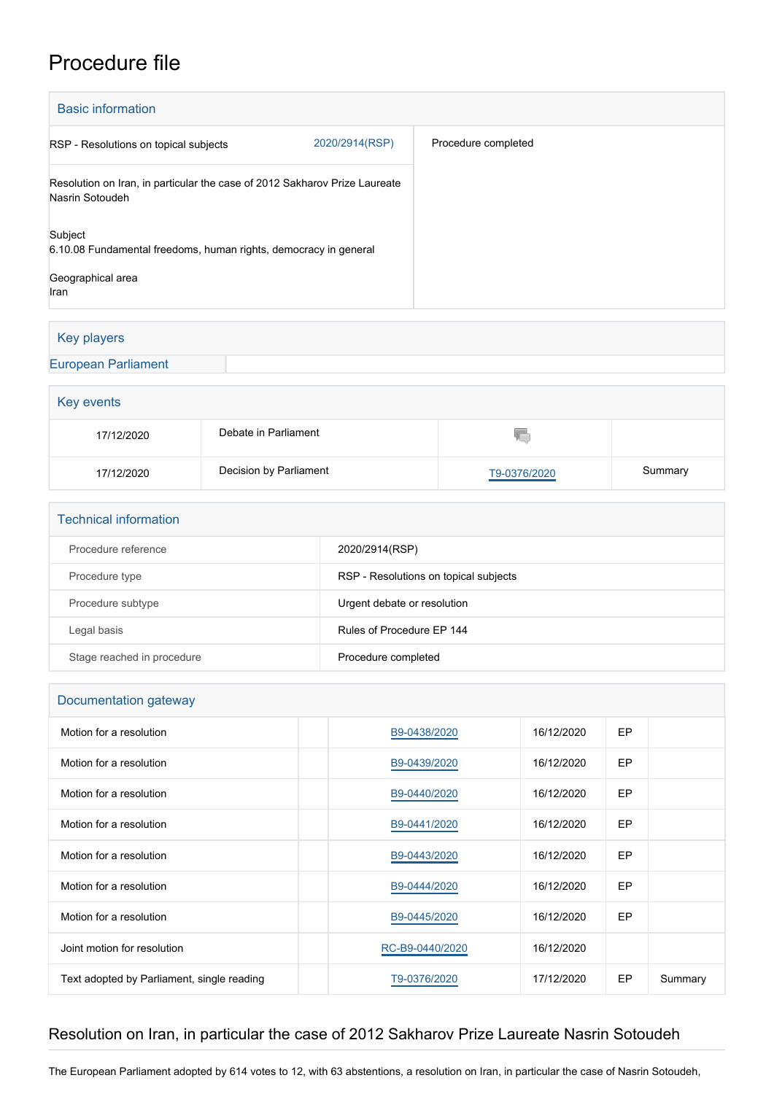## Procedure file

| <b>Basic information</b>                                                                      |                |                     |  |  |  |
|-----------------------------------------------------------------------------------------------|----------------|---------------------|--|--|--|
| RSP - Resolutions on topical subjects                                                         | 2020/2914(RSP) | Procedure completed |  |  |  |
| Resolution on Iran, in particular the case of 2012 Sakharov Prize Laureate<br>Nasrin Sotoudeh |                |                     |  |  |  |
| Subject<br>6.10.08 Fundamental freedoms, human rights, democracy in general                   |                |                     |  |  |  |
| Geographical area<br>Iran                                                                     |                |                     |  |  |  |

## Key players

[European Parliament](http://www.europarl.europa.eu/)

| Key events |                        |              |         |  |  |
|------------|------------------------|--------------|---------|--|--|
| 17/12/2020 | Debate in Parliament   | W.           |         |  |  |
| 17/12/2020 | Decision by Parliament | T9-0376/2020 | Summary |  |  |

| <b>Technical information</b> |                                       |  |  |  |
|------------------------------|---------------------------------------|--|--|--|
| Procedure reference          | 2020/2914(RSP)                        |  |  |  |
| Procedure type               | RSP - Resolutions on topical subjects |  |  |  |
| Procedure subtype            | Urgent debate or resolution           |  |  |  |
| Legal basis                  | Rules of Procedure EP 144             |  |  |  |
| Stage reached in procedure   | Procedure completed                   |  |  |  |

| Documentation gateway                      |                 |            |           |         |  |  |  |
|--------------------------------------------|-----------------|------------|-----------|---------|--|--|--|
| Motion for a resolution                    | B9-0438/2020    | 16/12/2020 | <b>EP</b> |         |  |  |  |
| Motion for a resolution                    | B9-0439/2020    | 16/12/2020 | <b>EP</b> |         |  |  |  |
| Motion for a resolution                    | B9-0440/2020    | 16/12/2020 | <b>EP</b> |         |  |  |  |
| Motion for a resolution                    | B9-0441/2020    | 16/12/2020 | <b>EP</b> |         |  |  |  |
| Motion for a resolution                    | B9-0443/2020    | 16/12/2020 | <b>EP</b> |         |  |  |  |
| Motion for a resolution                    | B9-0444/2020    | 16/12/2020 | <b>EP</b> |         |  |  |  |
| Motion for a resolution                    | B9-0445/2020    | 16/12/2020 | <b>EP</b> |         |  |  |  |
| Joint motion for resolution                | RC-B9-0440/2020 | 16/12/2020 |           |         |  |  |  |
| Text adopted by Parliament, single reading | T9-0376/2020    | 17/12/2020 | EP        | Summary |  |  |  |

## Resolution on Iran, in particular the case of 2012 Sakharov Prize Laureate Nasrin Sotoudeh

The European Parliament adopted by 614 votes to 12, with 63 abstentions, a resolution on Iran, in particular the case of Nasrin Sotoudeh,